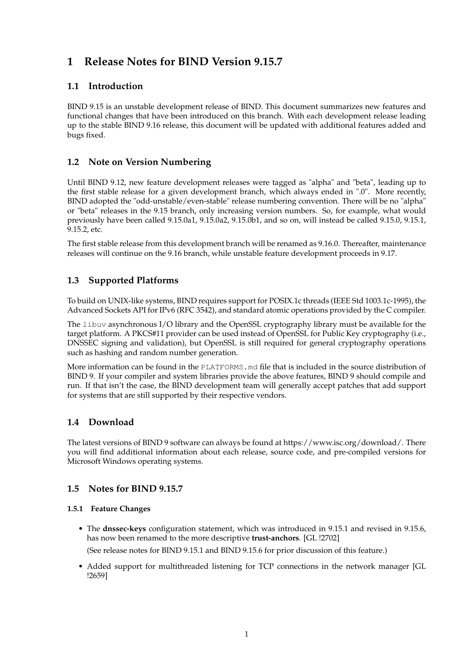# **1 Release Notes for BIND Version 9.15.7**

# **1.1 Introduction**

BIND 9.15 is an unstable development release of BIND. This document summarizes new features and functional changes that have been introduced on this branch. With each development release leading up to the stable BIND 9.16 release, this document will be updated with additional features added and bugs fixed.

# **1.2 Note on Version Numbering**

Until BIND 9.12, new feature development releases were tagged as "alpha" and "beta", leading up to the first stable release for a given development branch, which always ended in ".0". More recently, BIND adopted the "odd-unstable/even-stable" release numbering convention. There will be no "alpha" or "beta" releases in the 9.15 branch, only increasing version numbers. So, for example, what would previously have been called 9.15.0a1, 9.15.0a2, 9.15.0b1, and so on, will instead be called 9.15.0, 9.15.1, 9.15.2, etc.

The first stable release from this development branch will be renamed as 9.16.0. Thereafter, maintenance releases will continue on the 9.16 branch, while unstable feature development proceeds in 9.17.

# **1.3 Supported Platforms**

To build on UNIX-like systems, BIND requires support for POSIX.1c threads (IEEE Std 1003.1c-1995), the Advanced Sockets API for IPv6 (RFC 3542), and standard atomic operations provided by the C compiler.

The libuv asynchronous I/O library and the OpenSSL cryptography library must be available for the target platform. A PKCS#11 provider can be used instead of OpenSSL for Public Key cryptography (i.e., DNSSEC signing and validation), but OpenSSL is still required for general cryptography operations such as hashing and random number generation.

More information can be found in the PLATFORMS.md file that is included in the source distribution of BIND 9. If your compiler and system libraries provide the above features, BIND 9 should compile and run. If that isn't the case, the BIND development team will generally accept patches that add support for systems that are still supported by their respective vendors.

# **1.4 Download**

The latest versions of BIND 9 software can always be found at https://www.isc.org/download/. There you will find additional information about each release, source code, and pre-compiled versions for Microsoft Windows operating systems.

# **1.5 Notes for BIND 9.15.7**

### **1.5.1 Feature Changes**

• The **dnssec-keys** configuration statement, which was introduced in 9.15.1 and revised in 9.15.6, has now been renamed to the more descriptive **trust-anchors**. [GL !2702]

(See release notes for BIND 9.15.1 and BIND 9.15.6 for prior discussion of this feature.)

• Added support for multithreaded listening for TCP connections in the network manager [GL !2659]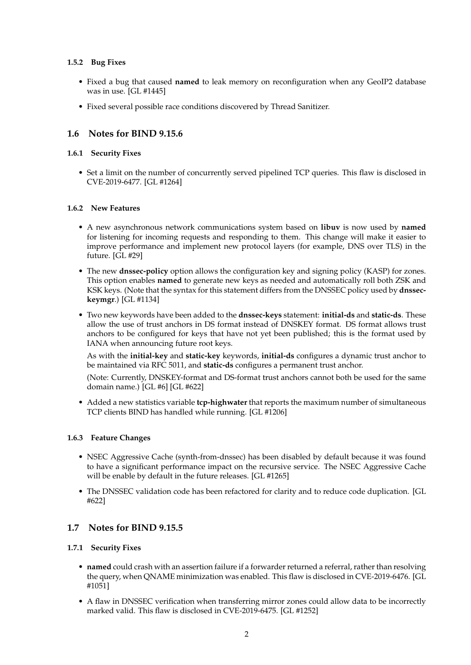### **1.5.2 Bug Fixes**

- Fixed a bug that caused **named** to leak memory on reconfiguration when any GeoIP2 database was in use. [GL #1445]
- Fixed several possible race conditions discovered by Thread Sanitizer.

# **1.6 Notes for BIND 9.15.6**

### **1.6.1 Security Fixes**

• Set a limit on the number of concurrently served pipelined TCP queries. This flaw is disclosed in CVE-2019-6477. [GL #1264]

### **1.6.2 New Features**

- A new asynchronous network communications system based on **libuv** is now used by **named** for listening for incoming requests and responding to them. This change will make it easier to improve performance and implement new protocol layers (for example, DNS over TLS) in the future. [GL #29]
- The new **dnssec-policy** option allows the configuration key and signing policy (KASP) for zones. This option enables **named** to generate new keys as needed and automatically roll both ZSK and KSK keys. (Note that the syntax for this statement differs from the DNSSEC policy used by **dnsseckeymgr**.) [GL #1134]
- Two new keywords have been added to the **dnssec-keys** statement: **initial-ds** and **static-ds**. These allow the use of trust anchors in DS format instead of DNSKEY format. DS format allows trust anchors to be configured for keys that have not yet been published; this is the format used by IANA when announcing future root keys.

As with the **initial-key** and **static-key** keywords, **initial-ds** configures a dynamic trust anchor to be maintained via RFC 5011, and **static-ds** configures a permanent trust anchor.

(Note: Currently, DNSKEY-format and DS-format trust anchors cannot both be used for the same domain name.) [GL #6] [GL #622]

• Added a new statistics variable **tcp-highwater** that reports the maximum number of simultaneous TCP clients BIND has handled while running. [GL #1206]

### **1.6.3 Feature Changes**

- NSEC Aggressive Cache (synth-from-dnssec) has been disabled by default because it was found to have a significant performance impact on the recursive service. The NSEC Aggressive Cache will be enable by default in the future releases. [GL #1265]
- The DNSSEC validation code has been refactored for clarity and to reduce code duplication. [GL #622]

# **1.7 Notes for BIND 9.15.5**

### **1.7.1 Security Fixes**

- **named** could crash with an assertion failure if a forwarder returned a referral, rather than resolving the query, when QNAME minimization was enabled. This flaw is disclosed in CVE-2019-6476. [GL #1051]
- A flaw in DNSSEC verification when transferring mirror zones could allow data to be incorrectly marked valid. This flaw is disclosed in CVE-2019-6475. [GL #1252]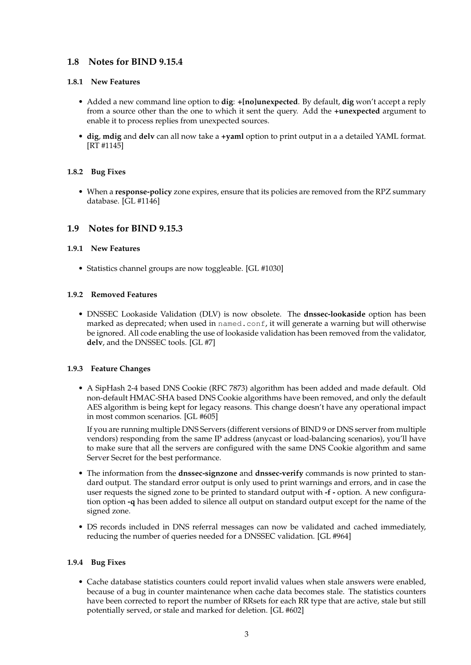# **1.8 Notes for BIND 9.15.4**

#### **1.8.1 New Features**

- Added a new command line option to **dig**: **+[no]unexpected**. By default, **dig** won't accept a reply from a source other than the one to which it sent the query. Add the **+unexpected** argument to enable it to process replies from unexpected sources.
- **dig**, **mdig** and **delv** can all now take a **+yaml** option to print output in a a detailed YAML format. [RT #1145]

### **1.8.2 Bug Fixes**

• When a **response-policy** zone expires, ensure that its policies are removed from the RPZ summary database. [GL #1146]

### **1.9 Notes for BIND 9.15.3**

#### **1.9.1 New Features**

• Statistics channel groups are now toggleable. [GL #1030]

#### **1.9.2 Removed Features**

• DNSSEC Lookaside Validation (DLV) is now obsolete. The **dnssec-lookaside** option has been marked as deprecated; when used in named.conf, it will generate a warning but will otherwise be ignored. All code enabling the use of lookaside validation has been removed from the validator, **delv**, and the DNSSEC tools. [GL #7]

### **1.9.3 Feature Changes**

• A SipHash 2-4 based DNS Cookie (RFC 7873) algorithm has been added and made default. Old non-default HMAC-SHA based DNS Cookie algorithms have been removed, and only the default AES algorithm is being kept for legacy reasons. This change doesn't have any operational impact in most common scenarios. [GL #605]

If you are running multiple DNS Servers (different versions of BIND 9 or DNS server from multiple vendors) responding from the same IP address (anycast or load-balancing scenarios), you'll have to make sure that all the servers are configured with the same DNS Cookie algorithm and same Server Secret for the best performance.

- The information from the **dnssec-signzone** and **dnssec-verify** commands is now printed to standard output. The standard error output is only used to print warnings and errors, and in case the user requests the signed zone to be printed to standard output with **-f -** option. A new configuration option **-q** has been added to silence all output on standard output except for the name of the signed zone.
- DS records included in DNS referral messages can now be validated and cached immediately, reducing the number of queries needed for a DNSSEC validation. [GL #964]

#### **1.9.4 Bug Fixes**

• Cache database statistics counters could report invalid values when stale answers were enabled, because of a bug in counter maintenance when cache data becomes stale. The statistics counters have been corrected to report the number of RRsets for each RR type that are active, stale but still potentially served, or stale and marked for deletion. [GL #602]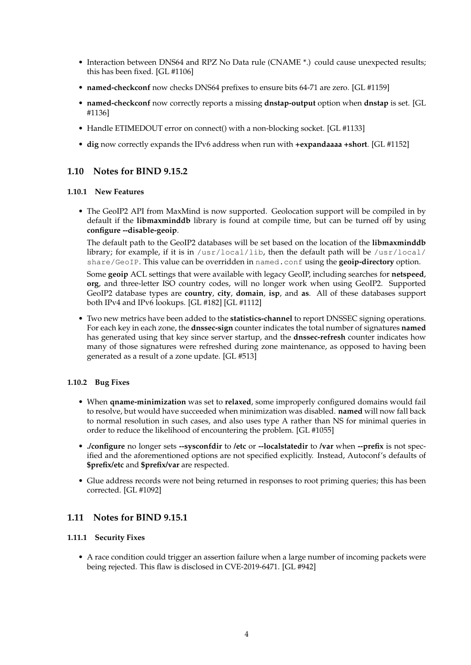- Interaction between DNS64 and RPZ No Data rule (CNAME \*.) could cause unexpected results; this has been fixed. [GL #1106]
- **named-checkconf** now checks DNS64 prefixes to ensure bits 64-71 are zero. [GL #1159]
- **named-checkconf** now correctly reports a missing **dnstap-output** option when **dnstap** is set. [GL #1136]
- Handle ETIMEDOUT error on connect() with a non-blocking socket. [GL #1133]
- **dig** now correctly expands the IPv6 address when run with **+expandaaaa +short**. [GL #1152]

# **1.10 Notes for BIND 9.15.2**

#### **1.10.1 New Features**

• The GeoIP2 API from MaxMind is now supported. Geolocation support will be compiled in by default if the **libmaxminddb** library is found at compile time, but can be turned off by using **configure --disable-geoip**.

The default path to the GeoIP2 databases will be set based on the location of the **libmaxminddb** library; for example, if it is in  $/$ usr $/$ local $/$ lib, then the default path will be  $/$ usr $/$ local $/$ share/GeoIP. This value can be overridden in named.conf using the **geoip-directory** option.

Some **geoip** ACL settings that were available with legacy GeoIP, including searches for **netspeed**, **org**, and three-letter ISO country codes, will no longer work when using GeoIP2. Supported GeoIP2 database types are **country**, **city**, **domain**, **isp**, and **as**. All of these databases support both IPv4 and IPv6 lookups. [GL #182] [GL #1112]

• Two new metrics have been added to the **statistics-channel** to report DNSSEC signing operations. For each key in each zone, the **dnssec-sign** counter indicates the total number of signatures **named** has generated using that key since server startup, and the **dnssec-refresh** counter indicates how many of those signatures were refreshed during zone maintenance, as opposed to having been generated as a result of a zone update. [GL #513]

### **1.10.2 Bug Fixes**

- When **qname-minimization** was set to **relaxed**, some improperly configured domains would fail to resolve, but would have succeeded when minimization was disabled. **named** will now fall back to normal resolution in such cases, and also uses type A rather than NS for minimal queries in order to reduce the likelihood of encountering the problem. [GL #1055]
- **./configure** no longer sets **--sysconfdir** to **/etc** or **--localstatedir** to **/var** when **--prefix** is not specified and the aforementioned options are not specified explicitly. Instead, Autoconf's defaults of **\$prefix/etc** and **\$prefix/var** are respected.
- Glue address records were not being returned in responses to root priming queries; this has been corrected. [GL #1092]

# **1.11 Notes for BIND 9.15.1**

#### **1.11.1 Security Fixes**

• A race condition could trigger an assertion failure when a large number of incoming packets were being rejected. This flaw is disclosed in CVE-2019-6471. [GL #942]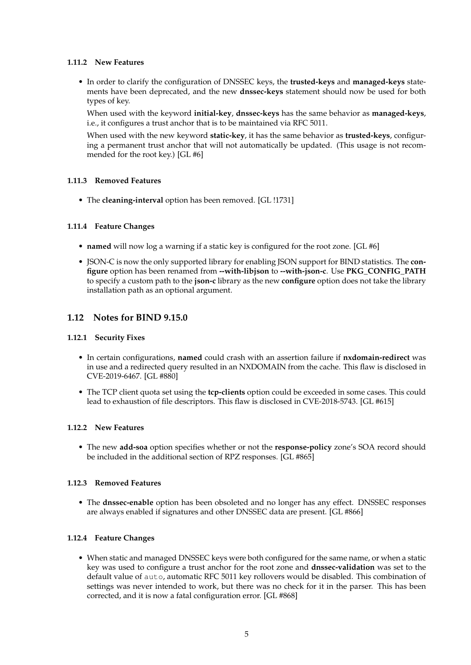### **1.11.2 New Features**

• In order to clarify the configuration of DNSSEC keys, the **trusted-keys** and **managed-keys** statements have been deprecated, and the new **dnssec-keys** statement should now be used for both types of key.

When used with the keyword **initial-key**, **dnssec-keys** has the same behavior as **managed-keys**, i.e., it configures a trust anchor that is to be maintained via RFC 5011.

When used with the new keyword **static-key**, it has the same behavior as **trusted-keys**, configuring a permanent trust anchor that will not automatically be updated. (This usage is not recommended for the root key.) [GL #6]

#### **1.11.3 Removed Features**

• The **cleaning-interval** option has been removed. [GL !1731]

#### **1.11.4 Feature Changes**

- **named** will now log a warning if a static key is configured for the root zone. [GL #6]
- JSON-C is now the only supported library for enabling JSON support for BIND statistics. The **configure** option has been renamed from **--with-libjson** to **--with-json-c**. Use **PKG\_CONFIG\_PATH** to specify a custom path to the **json-c** library as the new **configure** option does not take the library installation path as an optional argument.

# **1.12 Notes for BIND 9.15.0**

#### **1.12.1 Security Fixes**

- In certain configurations, **named** could crash with an assertion failure if **nxdomain-redirect** was in use and a redirected query resulted in an NXDOMAIN from the cache. This flaw is disclosed in CVE-2019-6467. [GL #880]
- The TCP client quota set using the **tcp-clients** option could be exceeded in some cases. This could lead to exhaustion of file descriptors. This flaw is disclosed in CVE-2018-5743. [GL #615]

#### **1.12.2 New Features**

• The new **add-soa** option specifies whether or not the **response-policy** zone's SOA record should be included in the additional section of RPZ responses. [GL #865]

### **1.12.3 Removed Features**

• The **dnssec-enable** option has been obsoleted and no longer has any effect. DNSSEC responses are always enabled if signatures and other DNSSEC data are present. [GL #866]

### **1.12.4 Feature Changes**

• When static and managed DNSSEC keys were both configured for the same name, or when a static key was used to configure a trust anchor for the root zone and **dnssec-validation** was set to the default value of auto, automatic RFC 5011 key rollovers would be disabled. This combination of settings was never intended to work, but there was no check for it in the parser. This has been corrected, and it is now a fatal configuration error. [GL #868]